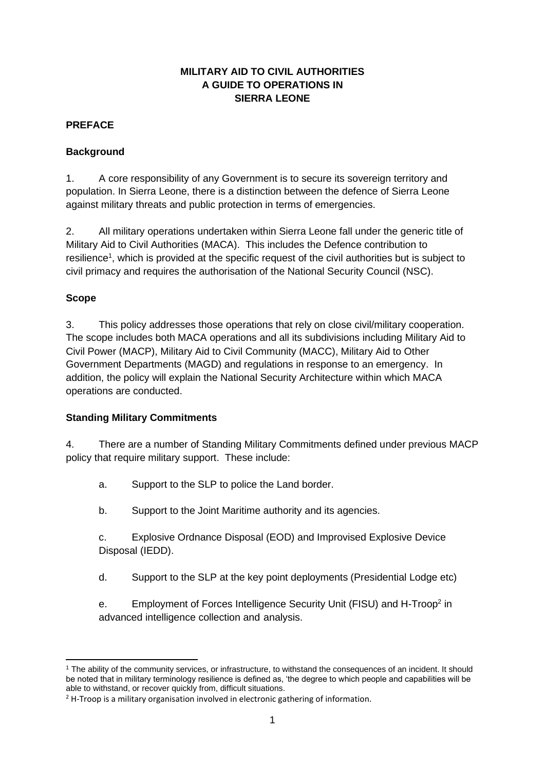## **MILITARY AID TO CIVIL AUTHORITIES A GUIDE TO OPERATIONS IN SIERRA LEONE**

## **PREFACE**

## **Background**

1. A core responsibility of any Government is to secure its sovereign territory and population. In Sierra Leone, there is a distinction between the defence of Sierra Leone against military threats and public protection in terms of emergencies.

2. All military operations undertaken within Sierra Leone fall under the generic title of Military Aid to Civil Authorities (MACA). This includes the Defence contribution to resilience<sup>1</sup>, which is provided at the specific request of the civil authorities but is subject to civil primacy and requires the authorisation of the National Security Council (NSC).

## **Scope**

3. This policy addresses those operations that rely on close civil/military cooperation. The scope includes both MACA operations and all its subdivisions including Military Aid to Civil Power (MACP), Military Aid to Civil Community (MACC), Military Aid to Other Government Departments (MAGD) and regulations in response to an emergency. In addition, the policy will explain the National Security Architecture within which MACA operations are conducted.

## **Standing Military Commitments**

4. There are a number of Standing Military Commitments defined under previous MACP policy that require military support. These include:

- a. Support to the SLP to police the Land border.
- b. Support to the Joint Maritime authority and its agencies.

c. Explosive Ordnance Disposal (EOD) and Improvised Explosive Device Disposal (IEDD).

d. Support to the SLP at the key point deployments (Presidential Lodge etc)

e. Employment of Forces Intelligence Security Unit (FISU) and H-Troop<sup>2</sup> in advanced intelligence collection and analysis.

<sup>1</sup> The ability of the community services, or infrastructure, to withstand the consequences of an incident. It should be noted that in military terminology resilience is defined as, 'the degree to which people and capabilities will be able to withstand, or recover quickly from, difficult situations.

 $2$  H-Troop is a military organisation involved in electronic gathering of information.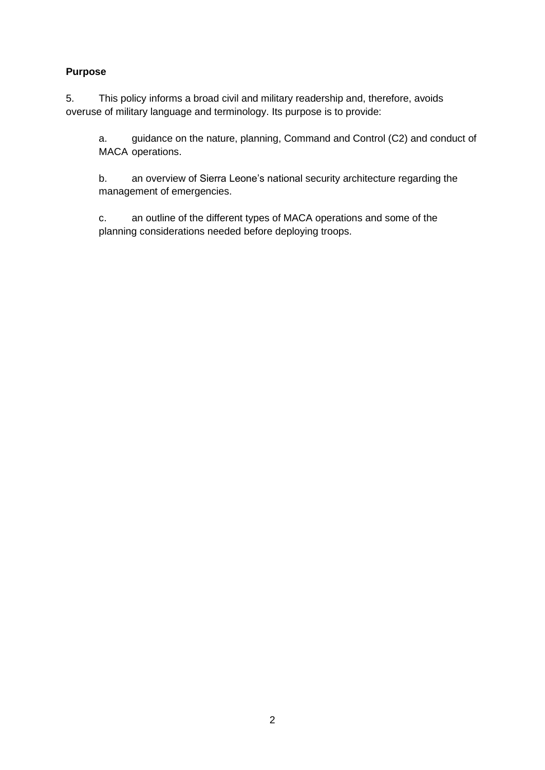## **Purpose**

5. This policy informs a broad civil and military readership and, therefore, avoids overuse of military language and terminology. Its purpose is to provide:

a. guidance on the nature, planning, Command and Control (C2) and conduct of MACA operations.

b. an overview of Sierra Leone's national security architecture regarding the management of emergencies.

c. an outline of the different types of MACA operations and some of the planning considerations needed before deploying troops.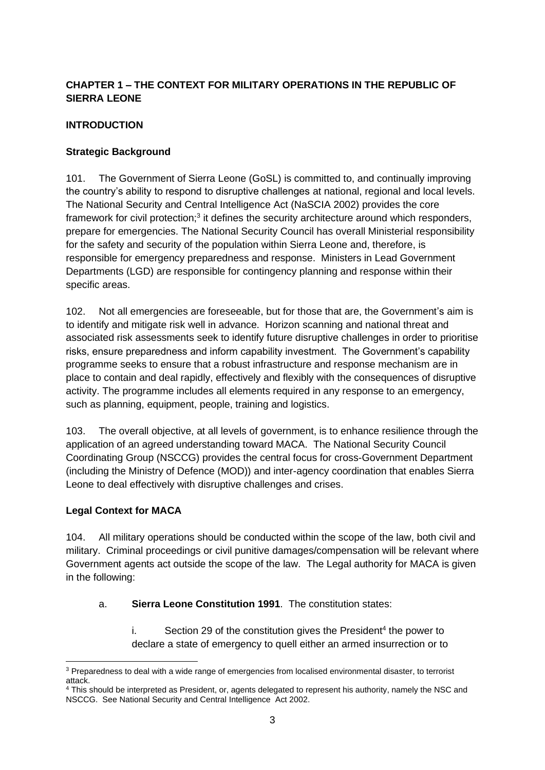## **CHAPTER 1 – THE CONTEXT FOR MILITARY OPERATIONS IN THE REPUBLIC OF SIERRA LEONE**

## **INTRODUCTION**

## **Strategic Background**

101. The Government of Sierra Leone (GoSL) is committed to, and continually improving the country's ability to respond to disruptive challenges at national, regional and local levels. The National Security and Central Intelligence Act (NaSCIA 2002) provides the core framework for civil protection;<sup>3</sup> it defines the security architecture around which responders, prepare for emergencies. The National Security Council has overall Ministerial responsibility for the safety and security of the population within Sierra Leone and, therefore, is responsible for emergency preparedness and response. Ministers in Lead Government Departments (LGD) are responsible for contingency planning and response within their specific areas.

102. Not all emergencies are foreseeable, but for those that are, the Government's aim is to identify and mitigate risk well in advance. Horizon scanning and national threat and associated risk assessments seek to identify future disruptive challenges in order to prioritise risks, ensure preparedness and inform capability investment. The Government's capability programme seeks to ensure that a robust infrastructure and response mechanism are in place to contain and deal rapidly, effectively and flexibly with the consequences of disruptive activity. The programme includes all elements required in any response to an emergency, such as planning, equipment, people, training and logistics.

103. The overall objective, at all levels of government, is to enhance resilience through the application of an agreed understanding toward MACA. The National Security Council Coordinating Group (NSCCG) provides the central focus for cross-Government Department (including the Ministry of Defence (MOD)) and inter-agency coordination that enables Sierra Leone to deal effectively with disruptive challenges and crises.

## **Legal Context for MACA**

104. All military operations should be conducted within the scope of the law, both civil and military. Criminal proceedings or civil punitive damages/compensation will be relevant where Government agents act outside the scope of the law. The Legal authority for MACA is given in the following:

## a. **Sierra Leone Constitution 1991**. The constitution states:

 $i.$  Section 29 of the constitution gives the President<sup>4</sup> the power to declare a state of emergency to quell either an armed insurrection or to

<sup>&</sup>lt;sup>3</sup> Preparedness to deal with a wide range of emergencies from localised environmental disaster, to terrorist attack.

<sup>4</sup> This should be interpreted as President, or, agents delegated to represent his authority, namely the NSC and NSCCG. See National Security and Central Intelligence Act 2002.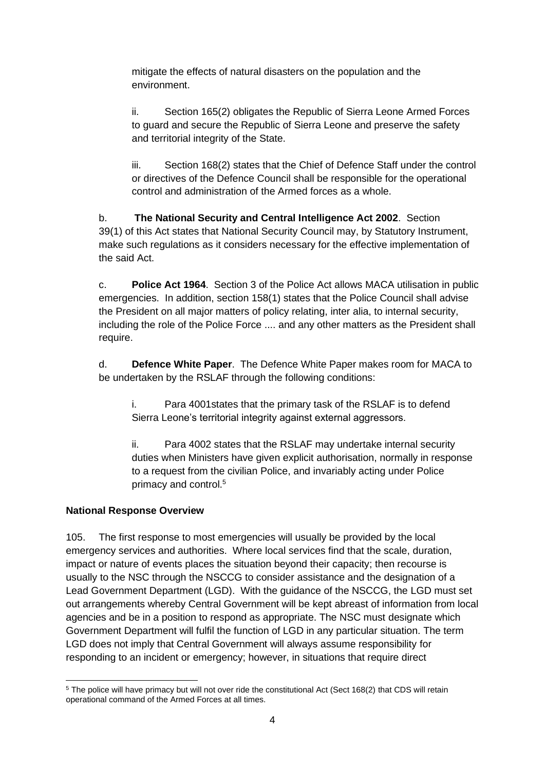mitigate the effects of natural disasters on the population and the environment.

ii. Section 165(2) obligates the Republic of Sierra Leone Armed Forces to guard and secure the Republic of Sierra Leone and preserve the safety and territorial integrity of the State.

iii. Section 168(2) states that the Chief of Defence Staff under the control or directives of the Defence Council shall be responsible for the operational control and administration of the Armed forces as a whole.

b. **The National Security and Central Intelligence Act 2002**. Section 39(1) of this Act states that National Security Council may, by Statutory Instrument, make such regulations as it considers necessary for the effective implementation of the said Act.

c. **Police Act 1964**. Section 3 of the Police Act allows MACA utilisation in public emergencies. In addition, section 158(1) states that the Police Council shall advise the President on all major matters of policy relating, inter alia, to internal security, including the role of the Police Force .... and any other matters as the President shall require.

d. **Defence White Paper**. The Defence White Paper makes room for MACA to be undertaken by the RSLAF through the following conditions:

i. Para 4001states that the primary task of the RSLAF is to defend Sierra Leone's territorial integrity against external aggressors.

ii. Para 4002 states that the RSLAF may undertake internal security duties when Ministers have given explicit authorisation, normally in response to a request from the civilian Police, and invariably acting under Police primacy and control.<sup>5</sup>

## **National Response Overview**

105. The first response to most emergencies will usually be provided by the local emergency services and authorities. Where local services find that the scale, duration, impact or nature of events places the situation beyond their capacity; then recourse is usually to the NSC through the NSCCG to consider assistance and the designation of a Lead Government Department (LGD). With the guidance of the NSCCG, the LGD must set out arrangements whereby Central Government will be kept abreast of information from local agencies and be in a position to respond as appropriate. The NSC must designate which Government Department will fulfil the function of LGD in any particular situation. The term LGD does not imply that Central Government will always assume responsibility for responding to an incident or emergency; however, in situations that require direct

<sup>5</sup> The police will have primacy but will not over ride the constitutional Act (Sect 168(2) that CDS will retain operational command of the Armed Forces at all times.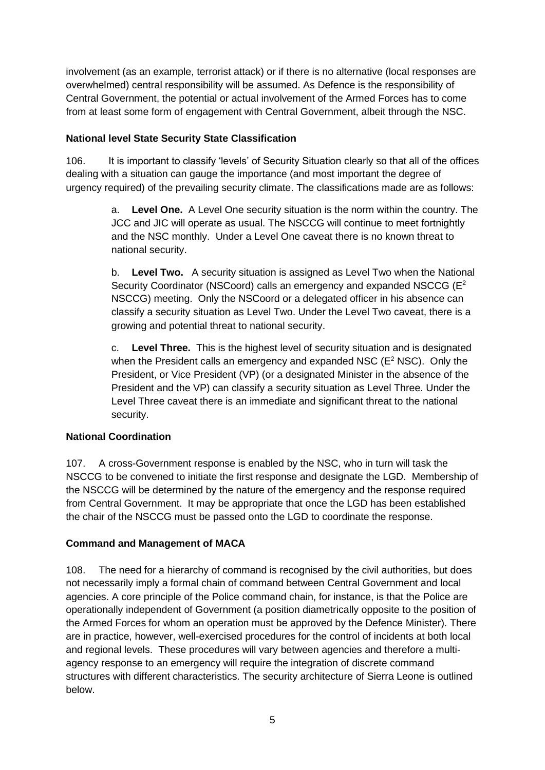involvement (as an example, terrorist attack) or if there is no alternative (local responses are overwhelmed) central responsibility will be assumed. As Defence is the responsibility of Central Government, the potential or actual involvement of the Armed Forces has to come from at least some form of engagement with Central Government, albeit through the NSC.

#### **National level State Security State Classification**

106. It is important to classify 'levels' of Security Situation clearly so that all of the offices dealing with a situation can gauge the importance (and most important the degree of urgency required) of the prevailing security climate. The classifications made are as follows:

> a. **Level One.** A Level One security situation is the norm within the country. The JCC and JIC will operate as usual. The NSCCG will continue to meet fortnightly and the NSC monthly. Under a Level One caveat there is no known threat to national security.

> b. **Level Two.** A security situation is assigned as Level Two when the National Security Coordinator (NSCoord) calls an emergency and expanded NSCCG ( $E^2$ ) NSCCG) meeting. Only the NSCoord or a delegated officer in his absence can classify a security situation as Level Two. Under the Level Two caveat, there is a growing and potential threat to national security.

> c. **Level Three.** This is the highest level of security situation and is designated when the President calls an emergency and expanded NSC ( $E^2$  NSC). Only the President, or Vice President (VP) (or a designated Minister in the absence of the President and the VP) can classify a security situation as Level Three. Under the Level Three caveat there is an immediate and significant threat to the national security.

## **National Coordination**

107. A cross-Government response is enabled by the NSC, who in turn will task the NSCCG to be convened to initiate the first response and designate the LGD. Membership of the NSCCG will be determined by the nature of the emergency and the response required from Central Government. It may be appropriate that once the LGD has been established the chair of the NSCCG must be passed onto the LGD to coordinate the response.

## **Command and Management of MACA**

108. The need for a hierarchy of command is recognised by the civil authorities, but does not necessarily imply a formal chain of command between Central Government and local agencies. A core principle of the Police command chain, for instance, is that the Police are operationally independent of Government (a position diametrically opposite to the position of the Armed Forces for whom an operation must be approved by the Defence Minister). There are in practice, however, well-exercised procedures for the control of incidents at both local and regional levels. These procedures will vary between agencies and therefore a multiagency response to an emergency will require the integration of discrete command structures with different characteristics. The security architecture of Sierra Leone is outlined below.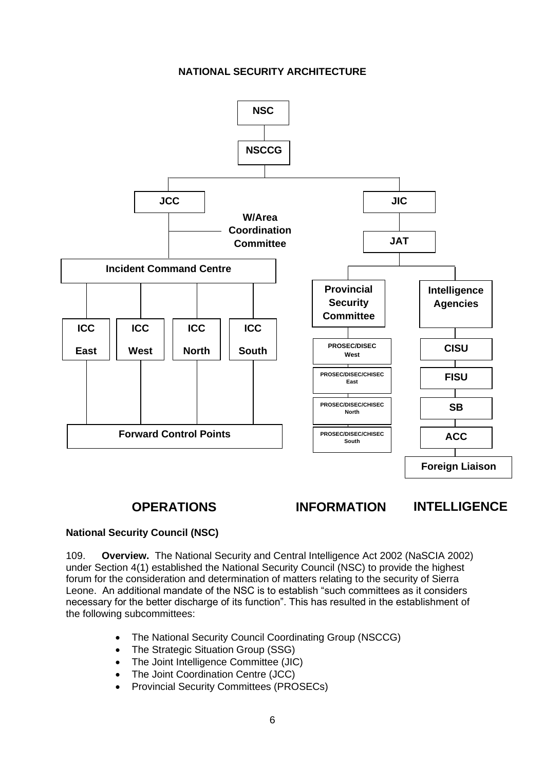#### **NATIONAL SECURITY ARCHITECTURE**



## **OPERATIONS INFORMATION INTELLIGENCE**

## **National Security Council (NSC)**

109. **Overview.** The National Security and Central Intelligence Act 2002 (NaSCIA 2002) under Section 4(1) established the National Security Council (NSC) to provide the highest forum for the consideration and determination of matters relating to the security of Sierra Leone. An additional mandate of the NSC is to establish "such committees as it considers necessary for the better discharge of its function". This has resulted in the establishment of the following subcommittees:

- The National Security Council Coordinating Group (NSCCG)
- The Strategic Situation Group (SSG)
- The Joint Intelligence Committee (JIC)
- The Joint Coordination Centre (JCC)
- Provincial Security Committees (PROSECs)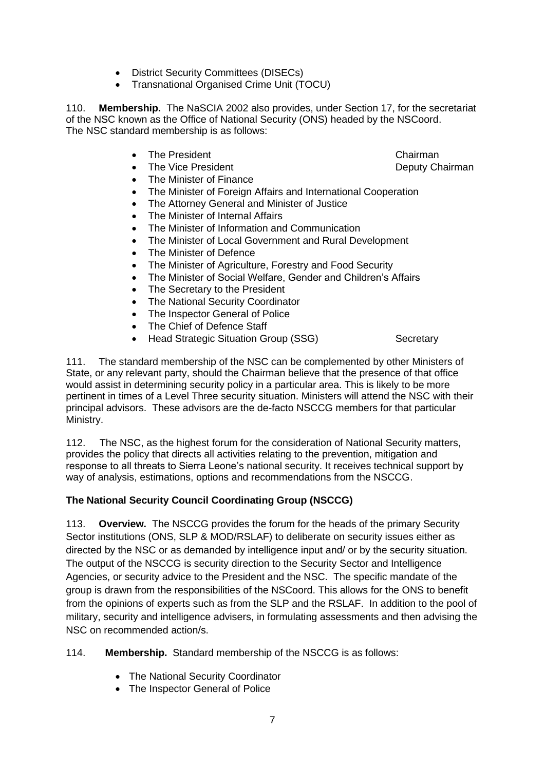- District Security Committees (DISECs)
- Transnational Organised Crime Unit (TOCU)

110. **Membership.** The NaSCIA 2002 also provides, under Section 17, for the secretariat of the NSC known as the Office of National Security (ONS) headed by the NSCoord. The NSC standard membership is as follows:

- **Find President Chairman**
- The Vice President **Deputy Chairman**
- The Minister of Finance
- The Minister of Foreign Affairs and International Cooperation
- The Attorney General and Minister of Justice
- The Minister of Internal Affairs
- The Minister of Information and Communication
- The Minister of Local Government and Rural Development
- The Minister of Defence
- The Minister of Agriculture, Forestry and Food Security
- The Minister of Social Welfare, Gender and Children's Affairs
- The Secretary to the President
- The National Security Coordinator
- The Inspector General of Police
- The Chief of Defence Staff
- Head Strategic Situation Group (SSG) Secretary

111. The standard membership of the NSC can be complemented by other Ministers of State, or any relevant party, should the Chairman believe that the presence of that office would assist in determining security policy in a particular area. This is likely to be more pertinent in times of a Level Three security situation. Ministers will attend the NSC with their principal advisors. These advisors are the de-facto NSCCG members for that particular Ministry.

112. The NSC, as the highest forum for the consideration of National Security matters, provides the policy that directs all activities relating to the prevention, mitigation and response to all threats to Sierra Leone's national security. It receives technical support by way of analysis, estimations, options and recommendations from the NSCCG.

## **The National Security Council Coordinating Group (NSCCG)**

113. **Overview.** The NSCCG provides the forum for the heads of the primary Security Sector institutions (ONS, SLP & MOD/RSLAF) to deliberate on security issues either as directed by the NSC or as demanded by intelligence input and/ or by the security situation. The output of the NSCCG is security direction to the Security Sector and Intelligence Agencies, or security advice to the President and the NSC. The specific mandate of the group is drawn from the responsibilities of the NSCoord. This allows for the ONS to benefit from the opinions of experts such as from the SLP and the RSLAF. In addition to the pool of military, security and intelligence advisers, in formulating assessments and then advising the NSC on recommended action/s.

114. **Membership.** Standard membership of the NSCCG is as follows:

- The National Security Coordinator
- The Inspector General of Police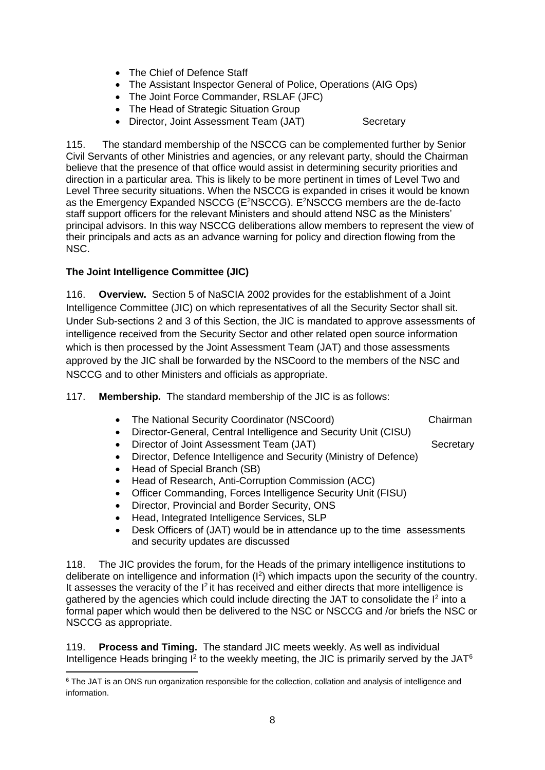- The Chief of Defence Staff
- The Assistant Inspector General of Police, Operations (AIG Ops)
- The Joint Force Commander, RSLAF (JFC)
- The Head of Strategic Situation Group
- Director, Joint Assessment Team (JAT) Secretary

115. The standard membership of the NSCCG can be complemented further by Senior Civil Servants of other Ministries and agencies, or any relevant party, should the Chairman believe that the presence of that office would assist in determining security priorities and direction in a particular area. This is likely to be more pertinent in times of Level Two and Level Three security situations. When the NSCCG is expanded in crises it would be known as the Emergency Expanded NSCCG (E<sup>2</sup>NSCCG). E<sup>2</sup>NSCCG members are the de-facto staff support officers for the relevant Ministers and should attend NSC as the Ministers' principal advisors. In this way NSCCG deliberations allow members to represent the view of their principals and acts as an advance warning for policy and direction flowing from the NSC.

#### **The Joint Intelligence Committee (JIC)**

116. **Overview.** Section 5 of NaSCIA 2002 provides for the establishment of a Joint Intelligence Committee (JIC) on which representatives of all the Security Sector shall sit. Under Sub-sections 2 and 3 of this Section, the JIC is mandated to approve assessments of intelligence received from the Security Sector and other related open source information which is then processed by the Joint Assessment Team (JAT) and those assessments approved by the JIC shall be forwarded by the NSCoord to the members of the NSC and NSCCG and to other Ministers and officials as appropriate.

117. **Membership.** The standard membership of the JIC is as follows:

- The National Security Coordinator (NSCoord) Chairman
- Director-General, Central Intelligence and Security Unit (CISU)
- Director of Joint Assessment Team (JAT) Secretary
- Director, Defence Intelligence and Security (Ministry of Defence)
- Head of Special Branch (SB)
- Head of Research, Anti-Corruption Commission (ACC)
- Officer Commanding, Forces Intelligence Security Unit (FISU)
- Director, Provincial and Border Security, ONS
- Head, Integrated Intelligence Services, SLP
- Desk Officers of (JAT) would be in attendance up to the time assessments and security updates are discussed

118. The JIC provides the forum, for the Heads of the primary intelligence institutions to deliberate on intelligence and information (I<sup>2</sup>) which impacts upon the security of the country. It assesses the veracity of the  $I^2$  it has received and either directs that more intelligence is gathered by the agencies which could include directing the JAT to consolidate the  $I<sup>2</sup>$  into a formal paper which would then be delivered to the NSC or NSCCG and /or briefs the NSC or NSCCG as appropriate.

119. **Process and Timing.** The standard JIC meets weekly. As well as individual Intelligence Heads bringing  $I^2$  to the weekly meeting, the JIC is primarily served by the JAT<sup>6</sup>

<sup>&</sup>lt;sup>6</sup> The JAT is an ONS run organization responsible for the collection, collation and analysis of intelligence and information.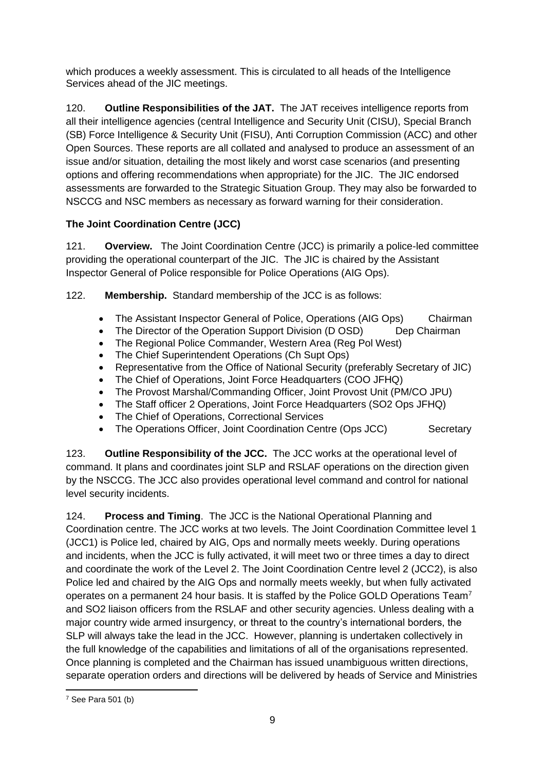which produces a weekly assessment. This is circulated to all heads of the Intelligence Services ahead of the JIC meetings.

120. **Outline Responsibilities of the JAT.** The JAT receives intelligence reports from all their intelligence agencies (central Intelligence and Security Unit (CISU), Special Branch (SB) Force Intelligence & Security Unit (FISU), Anti Corruption Commission (ACC) and other Open Sources. These reports are all collated and analysed to produce an assessment of an issue and/or situation, detailing the most likely and worst case scenarios (and presenting options and offering recommendations when appropriate) for the JIC. The JIC endorsed assessments are forwarded to the Strategic Situation Group. They may also be forwarded to NSCCG and NSC members as necessary as forward warning for their consideration.

## **The Joint Coordination Centre (JCC)**

121. **Overview.** The Joint Coordination Centre (JCC) is primarily a police-led committee providing the operational counterpart of the JIC. The JIC is chaired by the Assistant Inspector General of Police responsible for Police Operations (AIG Ops).

122. **Membership.** Standard membership of the JCC is as follows:

- The Assistant Inspector General of Police, Operations (AIG Ops) Chairman
- The Director of the Operation Support Division (D OSD) Dep Chairman
- The Regional Police Commander, Western Area (Reg Pol West)
- The Chief Superintendent Operations (Ch Supt Ops)
- Representative from the Office of National Security (preferably Secretary of JIC)
- The Chief of Operations, Joint Force Headquarters (COO JFHQ)
- The Provost Marshal/Commanding Officer, Joint Provost Unit (PM/CO JPU)
- The Staff officer 2 Operations, Joint Force Headquarters (SO2 Ops JFHQ)
- The Chief of Operations, Correctional Services
- The Operations Officer, Joint Coordination Centre (Ops JCC) Secretary

123. **Outline Responsibility of the JCC.** The JCC works at the operational level of command. It plans and coordinates joint SLP and RSLAF operations on the direction given by the NSCCG. The JCC also provides operational level command and control for national level security incidents.

124. **Process and Timing**. The JCC is the National Operational Planning and Coordination centre. The JCC works at two levels. The Joint Coordination Committee level 1 (JCC1) is Police led, chaired by AIG, Ops and normally meets weekly. During operations and incidents, when the JCC is fully activated, it will meet two or three times a day to direct and coordinate the work of the Level 2. The Joint Coordination Centre level 2 (JCC2), is also Police led and chaired by the AIG Ops and normally meets weekly, but when fully activated operates on a permanent 24 hour basis. It is staffed by the Police GOLD Operations Team<sup>7</sup> and SO2 liaison officers from the RSLAF and other security agencies. Unless dealing with a major country wide armed insurgency, or threat to the country's international borders, the SLP will always take the lead in the JCC. However, planning is undertaken collectively in the full knowledge of the capabilities and limitations of all of the organisations represented. Once planning is completed and the Chairman has issued unambiguous written directions, separate operation orders and directions will be delivered by heads of Service and Ministries

 $7$  See Para 501 (b)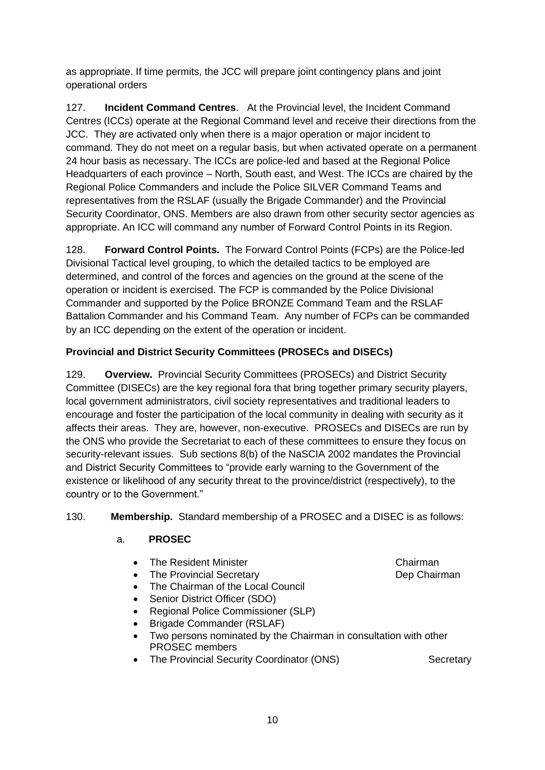as appropriate. If time permits, the JCC will prepare joint contingency plans and joint operational orders

127. **Incident Command Centres**. At the Provincial level, the Incident Command Centres (ICCs) operate at the Regional Command level and receive their directions from the JCC. They are activated only when there is a major operation or major incident to command. They do not meet on a regular basis, but when activated operate on a permanent 24 hour basis as necessary. The ICCs are police-led and based at the Regional Police Headquarters of each province – North, South east, and West. The ICCs are chaired by the Regional Police Commanders and include the Police SILVER Command Teams and representatives from the RSLAF (usually the Brigade Commander) and the Provincial Security Coordinator, ONS. Members are also drawn from other security sector agencies as appropriate. An ICC will command any number of Forward Control Points in its Region.

128. **Forward Control Points.** The Forward Control Points (FCPs) are the Police-led Divisional Tactical level grouping, to which the detailed tactics to be employed are determined, and control of the forces and agencies on the ground at the scene of the operation or incident is exercised. The FCP is commanded by the Police Divisional Commander and supported by the Police BRONZE Command Team and the RSLAF Battalion Commander and his Command Team. Any number of FCPs can be commanded by an ICC depending on the extent of the operation or incident.

## **Provincial and District Security Committees (PROSECs and DISECs)**

129. **Overview.** Provincial Security Committees (PROSECs) and District Security Committee (DISECs) are the key regional fora that bring together primary security players, local government administrators, civil society representatives and traditional leaders to encourage and foster the participation of the local community in dealing with security as it affects their areas. They are, however, non-executive. PROSECs and DISECs are run by the ONS who provide the Secretariat to each of these committees to ensure they focus on security-relevant issues. Sub sections 8(b) of the NaSCIA 2002 mandates the Provincial and District Security Committees to "provide early warning to the Government of the existence or likelihood of any security threat to the province/district (respectively), to the country or to the Government."

## 130. **Membership.** Standard membership of a PROSEC and a DISEC is as follows:

## a. **PROSEC**

- The Resident Minister Chairman Chairman
- The Provincial Secretary **Dep Chairman**
- The Chairman of the Local Council
- Senior District Officer (SDO)
- Regional Police Commissioner (SLP)
- Brigade Commander (RSLAF)
- Two persons nominated by the Chairman in consultation with other PROSEC members
- The Provincial Security Coordinator (ONS) Secretary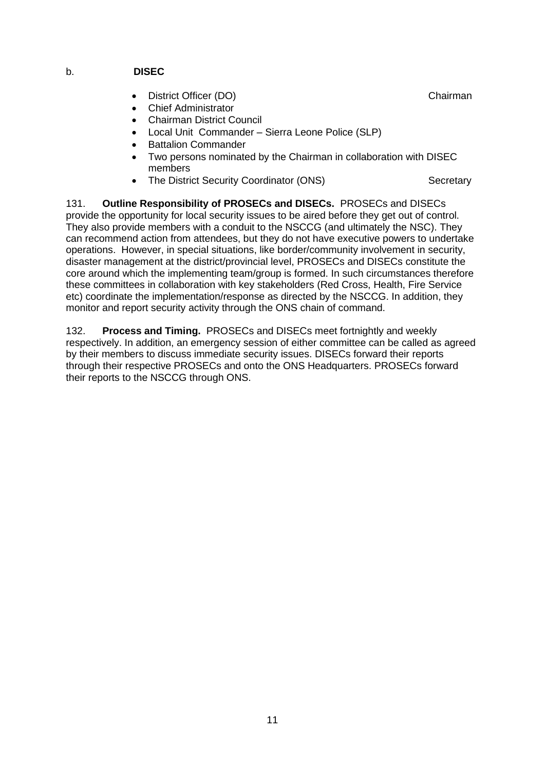#### b. **DISEC**

- **District Officer (DO)** Chairman
- Chief Administrator
- Chairman District Council
- Local Unit Commander Sierra Leone Police (SLP)
- **Battalion Commander**
- Two persons nominated by the Chairman in collaboration with DISEC members
- The District Security Coordinator (ONS) Secretary

131. **Outline Responsibility of PROSECs and DISECs.** PROSECs and DISECs provide the opportunity for local security issues to be aired before they get out of control. They also provide members with a conduit to the NSCCG (and ultimately the NSC). They can recommend action from attendees, but they do not have executive powers to undertake operations. However, in special situations, like border/community involvement in security, disaster management at the district/provincial level, PROSECs and DISECs constitute the core around which the implementing team/group is formed. In such circumstances therefore these committees in collaboration with key stakeholders (Red Cross, Health, Fire Service etc) coordinate the implementation/response as directed by the NSCCG. In addition, they monitor and report security activity through the ONS chain of command.

132. **Process and Timing.** PROSECs and DISECs meet fortnightly and weekly respectively. In addition, an emergency session of either committee can be called as agreed by their members to discuss immediate security issues. DISECs forward their reports through their respective PROSECs and onto the ONS Headquarters. PROSECs forward their reports to the NSCCG through ONS.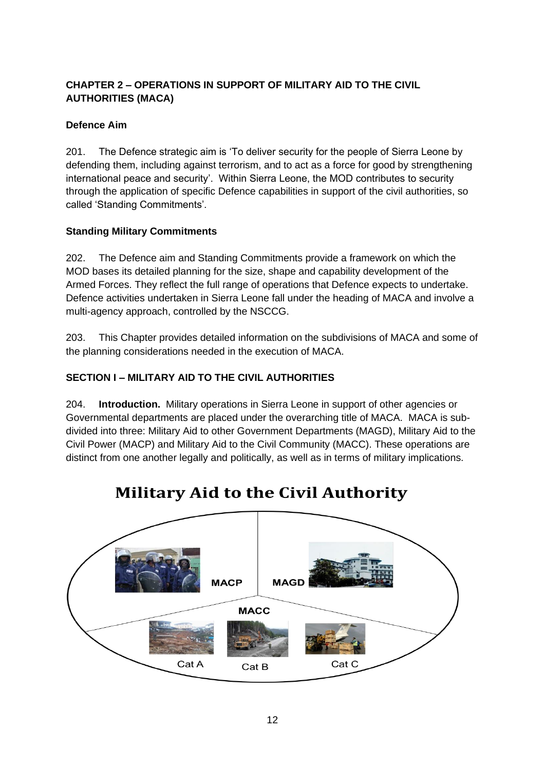## **CHAPTER 2 – OPERATIONS IN SUPPORT OF MILITARY AID TO THE CIVIL AUTHORITIES (MACA)**

## **Defence Aim**

201. The Defence strategic aim is 'To deliver security for the people of Sierra Leone by defending them, including against terrorism, and to act as a force for good by strengthening international peace and security'. Within Sierra Leone, the MOD contributes to security through the application of specific Defence capabilities in support of the civil authorities, so called 'Standing Commitments'.

## **Standing Military Commitments**

202. The Defence aim and Standing Commitments provide a framework on which the MOD bases its detailed planning for the size, shape and capability development of the Armed Forces. They reflect the full range of operations that Defence expects to undertake. Defence activities undertaken in Sierra Leone fall under the heading of MACA and involve a multi-agency approach, controlled by the NSCCG.

203. This Chapter provides detailed information on the subdivisions of MACA and some of the planning considerations needed in the execution of MACA.

## **SECTION I – MILITARY AID TO THE CIVIL AUTHORITIES**

204. **Introduction.** Military operations in Sierra Leone in support of other agencies or Governmental departments are placed under the overarching title of MACA. MACA is subdivided into three: Military Aid to other Government Departments (MAGD), Military Aid to the Civil Power (MACP) and Military Aid to the Civil Community (MACC). These operations are distinct from one another legally and politically, as well as in terms of military implications.



# **Military Aid to the Civil Authority**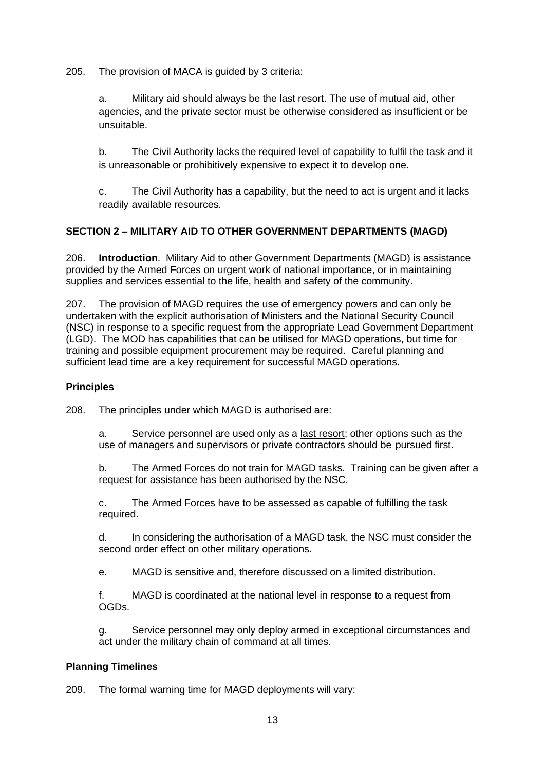205. The provision of MACA is guided by 3 criteria:

a. Military aid should always be the last resort. The use of mutual aid, other agencies, and the private sector must be otherwise considered as insufficient or be unsuitable.

b. The Civil Authority lacks the required level of capability to fulfil the task and it is unreasonable or prohibitively expensive to expect it to develop one.

c. The Civil Authority has a capability, but the need to act is urgent and it lacks readily available resources.

## **SECTION 2 – MILITARY AID TO OTHER GOVERNMENT DEPARTMENTS (MAGD)**

206. **Introduction**. Military Aid to other Government Departments (MAGD) is assistance provided by the Armed Forces on urgent work of national importance, or in maintaining supplies and services essential to the life, health and safety of the community.

207. The provision of MAGD requires the use of emergency powers and can only be undertaken with the explicit authorisation of Ministers and the National Security Council (NSC) in response to a specific request from the appropriate Lead Government Department (LGD). The MOD has capabilities that can be utilised for MAGD operations, but time for training and possible equipment procurement may be required. Careful planning and sufficient lead time are a key requirement for successful MAGD operations.

#### **Principles**

208. The principles under which MAGD is authorised are:

a. Service personnel are used only as a last resort; other options such as the use of managers and supervisors or private contractors should be pursued first.

b. The Armed Forces do not train for MAGD tasks. Training can be given after a request for assistance has been authorised by the NSC.

c. The Armed Forces have to be assessed as capable of fulfilling the task required.

d. In considering the authorisation of a MAGD task, the NSC must consider the second order effect on other military operations.

e. MAGD is sensitive and, therefore discussed on a limited distribution.

f. MAGD is coordinated at the national level in response to a request from OGDs.

g. Service personnel may only deploy armed in exceptional circumstances and act under the military chain of command at all times.

## **Planning Timelines**

209. The formal warning time for MAGD deployments will vary: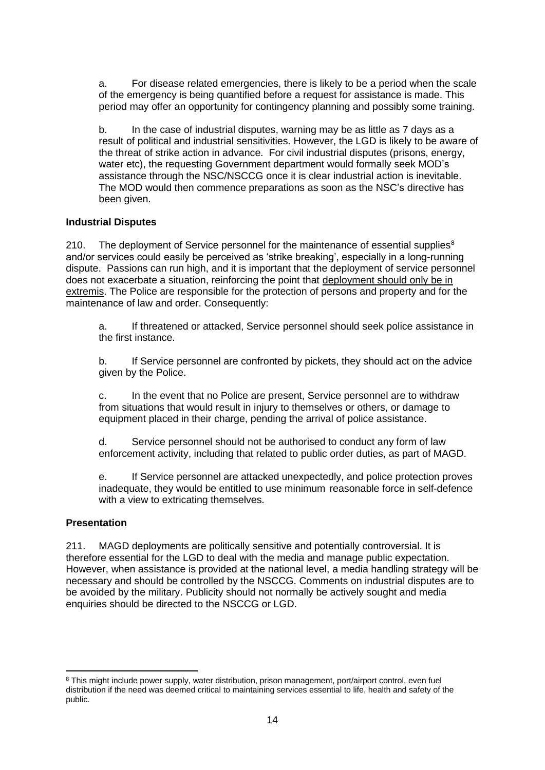a. For disease related emergencies, there is likely to be a period when the scale of the emergency is being quantified before a request for assistance is made. This period may offer an opportunity for contingency planning and possibly some training.

b. In the case of industrial disputes, warning may be as little as 7 days as a result of political and industrial sensitivities. However, the LGD is likely to be aware of the threat of strike action in advance. For civil industrial disputes (prisons, energy, water etc), the requesting Government department would formally seek MOD's assistance through the NSC/NSCCG once it is clear industrial action is inevitable. The MOD would then commence preparations as soon as the NSC's directive has been given.

#### **Industrial Disputes**

210. The deployment of Service personnel for the maintenance of essential supplies $<sup>8</sup>$ </sup> and/or services could easily be perceived as 'strike breaking', especially in a long-running dispute. Passions can run high, and it is important that the deployment of service personnel does not exacerbate a situation, reinforcing the point that deployment should only be in extremis. The Police are responsible for the protection of persons and property and for the maintenance of law and order. Consequently:

a. If threatened or attacked, Service personnel should seek police assistance in the first instance.

b. If Service personnel are confronted by pickets, they should act on the advice given by the Police.

c. In the event that no Police are present, Service personnel are to withdraw from situations that would result in injury to themselves or others, or damage to equipment placed in their charge, pending the arrival of police assistance.

d. Service personnel should not be authorised to conduct any form of law enforcement activity, including that related to public order duties, as part of MAGD.

e. If Service personnel are attacked unexpectedly, and police protection proves inadequate, they would be entitled to use minimum reasonable force in self-defence with a view to extricating themselves.

#### **Presentation**

211. MAGD deployments are politically sensitive and potentially controversial. It is therefore essential for the LGD to deal with the media and manage public expectation. However, when assistance is provided at the national level, a media handling strategy will be necessary and should be controlled by the NSCCG. Comments on industrial disputes are to be avoided by the military. Publicity should not normally be actively sought and media enquiries should be directed to the NSCCG or LGD.

<sup>&</sup>lt;sup>8</sup> This might include power supply, water distribution, prison management, port/airport control, even fuel distribution if the need was deemed critical to maintaining services essential to life, health and safety of the public.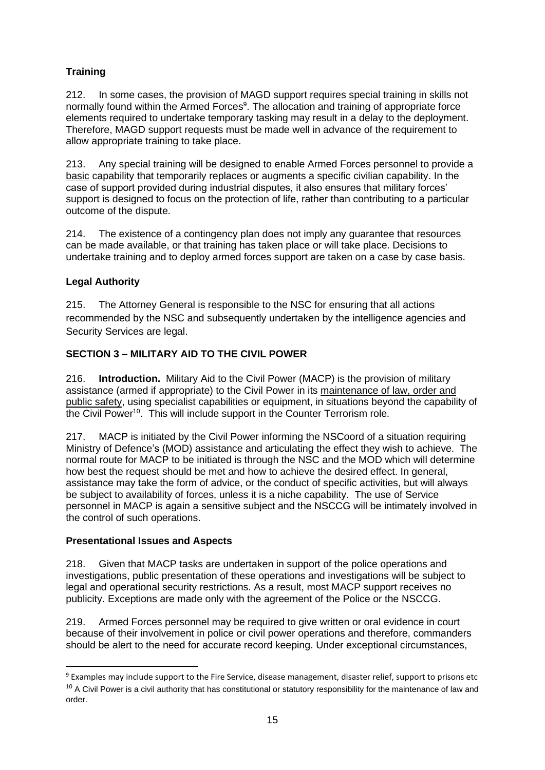## **Training**

212. In some cases, the provision of MAGD support requires special training in skills not normally found within the Armed Forces<sup>9</sup>. The allocation and training of appropriate force elements required to undertake temporary tasking may result in a delay to the deployment. Therefore, MAGD support requests must be made well in advance of the requirement to allow appropriate training to take place.

213. Any special training will be designed to enable Armed Forces personnel to provide a basic capability that temporarily replaces or augments a specific civilian capability. In the case of support provided during industrial disputes, it also ensures that military forces' support is designed to focus on the protection of life, rather than contributing to a particular outcome of the dispute.

214. The existence of a contingency plan does not imply any guarantee that resources can be made available, or that training has taken place or will take place. Decisions to undertake training and to deploy armed forces support are taken on a case by case basis.

## **Legal Authority**

215. The Attorney General is responsible to the NSC for ensuring that all actions recommended by the NSC and subsequently undertaken by the intelligence agencies and Security Services are legal.

## **SECTION 3 – MILITARY AID TO THE CIVIL POWER**

216. **Introduction.** Military Aid to the Civil Power (MACP) is the provision of military assistance (armed if appropriate) to the Civil Power in its maintenance of law, order and public safety, using specialist capabilities or equipment, in situations beyond the capability of the Civil Power<sup>10</sup>. This will include support in the Counter Terrorism role.

217. MACP is initiated by the Civil Power informing the NSCoord of a situation requiring Ministry of Defence's (MOD) assistance and articulating the effect they wish to achieve. The normal route for MACP to be initiated is through the NSC and the MOD which will determine how best the request should be met and how to achieve the desired effect. In general, assistance may take the form of advice, or the conduct of specific activities, but will always be subject to availability of forces, unless it is a niche capability. The use of Service personnel in MACP is again a sensitive subject and the NSCCG will be intimately involved in the control of such operations.

## **Presentational Issues and Aspects**

218. Given that MACP tasks are undertaken in support of the police operations and investigations, public presentation of these operations and investigations will be subject to legal and operational security restrictions. As a result, most MACP support receives no publicity. Exceptions are made only with the agreement of the Police or the NSCCG.

219. Armed Forces personnel may be required to give written or oral evidence in court because of their involvement in police or civil power operations and therefore, commanders should be alert to the need for accurate record keeping. Under exceptional circumstances,

<sup>9</sup> Examples may include support to the Fire Service, disease management, disaster relief, support to prisons etc  $10$  A Civil Power is a civil authority that has constitutional or statutory responsibility for the maintenance of law and order.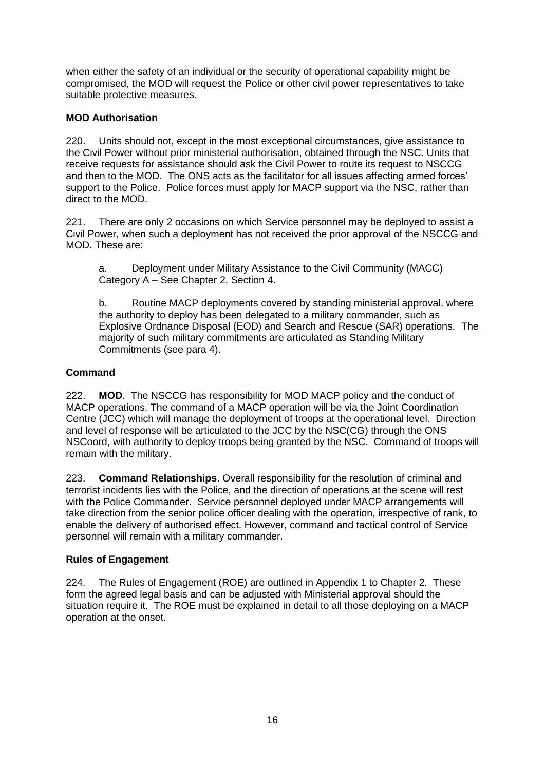when either the safety of an individual or the security of operational capability might be compromised, the MOD will request the Police or other civil power representatives to take suitable protective measures.

## **MOD Authorisation**

220. Units should not, except in the most exceptional circumstances, give assistance to the Civil Power without prior ministerial authorisation, obtained through the NSC. Units that receive requests for assistance should ask the Civil Power to route its request to NSCCG and then to the MOD. The ONS acts as the facilitator for all issues affecting armed forces' support to the Police. Police forces must apply for MACP support via the NSC, rather than direct to the MOD.

221. There are only 2 occasions on which Service personnel may be deployed to assist a Civil Power, when such a deployment has not received the prior approval of the NSCCG and MOD. These are:

a. Deployment under Military Assistance to the Civil Community (MACC) Category A – See Chapter 2, Section 4.

b. Routine MACP deployments covered by standing ministerial approval, where the authority to deploy has been delegated to a military commander, such as Explosive Ordnance Disposal (EOD) and Search and Rescue (SAR) operations. The majority of such military commitments are articulated as Standing Military Commitments (see para 4).

## **Command**

222. **MOD**. The NSCCG has responsibility for MOD MACP policy and the conduct of MACP operations. The command of a MACP operation will be via the Joint Coordination Centre (JCC) which will manage the deployment of troops at the operational level. Direction and level of response will be articulated to the JCC by the NSC(CG) through the ONS NSCoord, with authority to deploy troops being granted by the NSC. Command of troops will remain with the military.

223. **Command Relationships**. Overall responsibility for the resolution of criminal and terrorist incidents lies with the Police, and the direction of operations at the scene will rest with the Police Commander. Service personnel deployed under MACP arrangements will take direction from the senior police officer dealing with the operation, irrespective of rank, to enable the delivery of authorised effect. However, command and tactical control of Service personnel will remain with a military commander.

## **Rules of Engagement**

224. The Rules of Engagement (ROE) are outlined in Appendix 1 to Chapter 2. These form the agreed legal basis and can be adjusted with Ministerial approval should the situation require it. The ROE must be explained in detail to all those deploying on a MACP operation at the onset.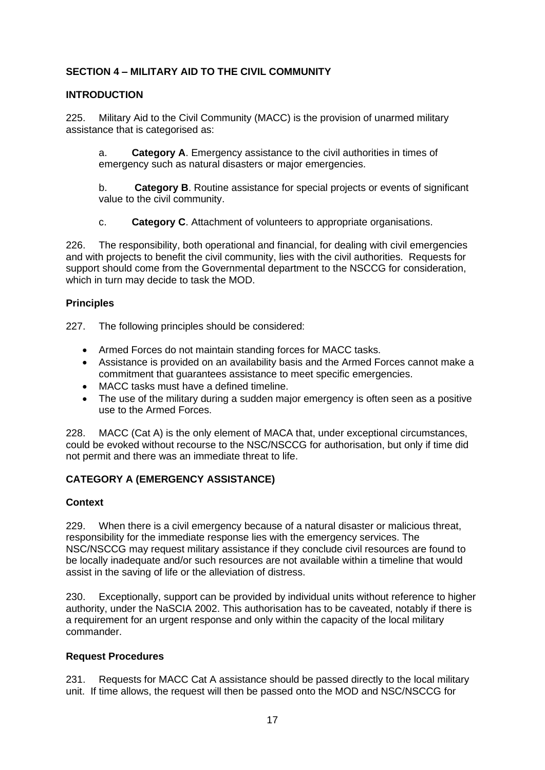## **SECTION 4 – MILITARY AID TO THE CIVIL COMMUNITY**

#### **INTRODUCTION**

225. Military Aid to the Civil Community (MACC) is the provision of unarmed military assistance that is categorised as:

a. **Category A**. Emergency assistance to the civil authorities in times of emergency such as natural disasters or major emergencies.

b. **Category B**. Routine assistance for special projects or events of significant value to the civil community.

c. **Category C**. Attachment of volunteers to appropriate organisations.

226. The responsibility, both operational and financial, for dealing with civil emergencies and with projects to benefit the civil community, lies with the civil authorities. Requests for support should come from the Governmental department to the NSCCG for consideration, which in turn may decide to task the MOD.

#### **Principles**

227. The following principles should be considered:

- Armed Forces do not maintain standing forces for MACC tasks.
- Assistance is provided on an availability basis and the Armed Forces cannot make a commitment that guarantees assistance to meet specific emergencies.
- MACC tasks must have a defined timeline.
- The use of the military during a sudden major emergency is often seen as a positive use to the Armed Forces.

228. MACC (Cat A) is the only element of MACA that, under exceptional circumstances, could be evoked without recourse to the NSC/NSCCG for authorisation, but only if time did not permit and there was an immediate threat to life.

## **CATEGORY A (EMERGENCY ASSISTANCE)**

#### **Context**

229. When there is a civil emergency because of a natural disaster or malicious threat, responsibility for the immediate response lies with the emergency services. The NSC/NSCCG may request military assistance if they conclude civil resources are found to be locally inadequate and/or such resources are not available within a timeline that would assist in the saving of life or the alleviation of distress.

230. Exceptionally, support can be provided by individual units without reference to higher authority, under the NaSCIA 2002. This authorisation has to be caveated, notably if there is a requirement for an urgent response and only within the capacity of the local military commander.

#### **Request Procedures**

231. Requests for MACC Cat A assistance should be passed directly to the local military unit. If time allows, the request will then be passed onto the MOD and NSC/NSCCG for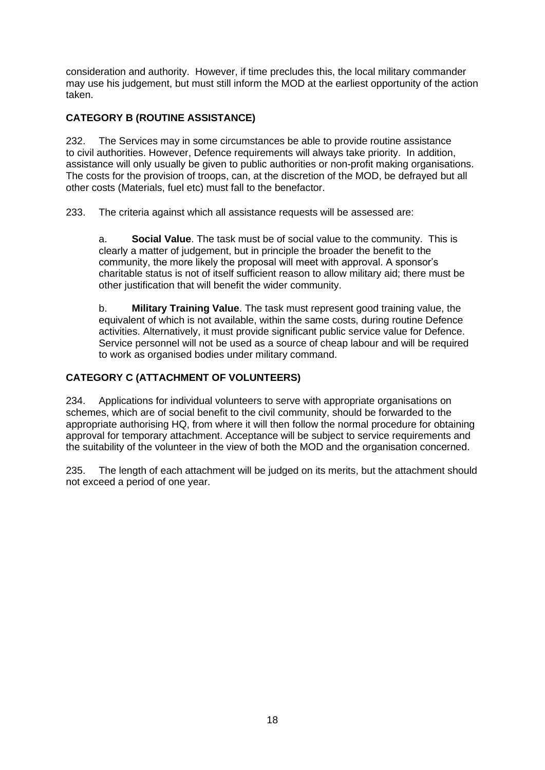consideration and authority. However, if time precludes this, the local military commander may use his judgement, but must still inform the MOD at the earliest opportunity of the action taken.

## **CATEGORY B (ROUTINE ASSISTANCE)**

232. The Services may in some circumstances be able to provide routine assistance to civil authorities. However, Defence requirements will always take priority. In addition, assistance will only usually be given to public authorities or non-profit making organisations. The costs for the provision of troops, can, at the discretion of the MOD, be defrayed but all other costs (Materials, fuel etc) must fall to the benefactor.

233. The criteria against which all assistance requests will be assessed are:

a. **Social Value**. The task must be of social value to the community. This is clearly a matter of judgement, but in principle the broader the benefit to the community, the more likely the proposal will meet with approval. A sponsor's charitable status is not of itself sufficient reason to allow military aid; there must be other justification that will benefit the wider community.

b. **Military Training Value**. The task must represent good training value, the equivalent of which is not available, within the same costs, during routine Defence activities. Alternatively, it must provide significant public service value for Defence. Service personnel will not be used as a source of cheap labour and will be required to work as organised bodies under military command.

## **CATEGORY C (ATTACHMENT OF VOLUNTEERS)**

234. Applications for individual volunteers to serve with appropriate organisations on schemes, which are of social benefit to the civil community, should be forwarded to the appropriate authorising HQ, from where it will then follow the normal procedure for obtaining approval for temporary attachment. Acceptance will be subject to service requirements and the suitability of the volunteer in the view of both the MOD and the organisation concerned.

235. The length of each attachment will be judged on its merits, but the attachment should not exceed a period of one year.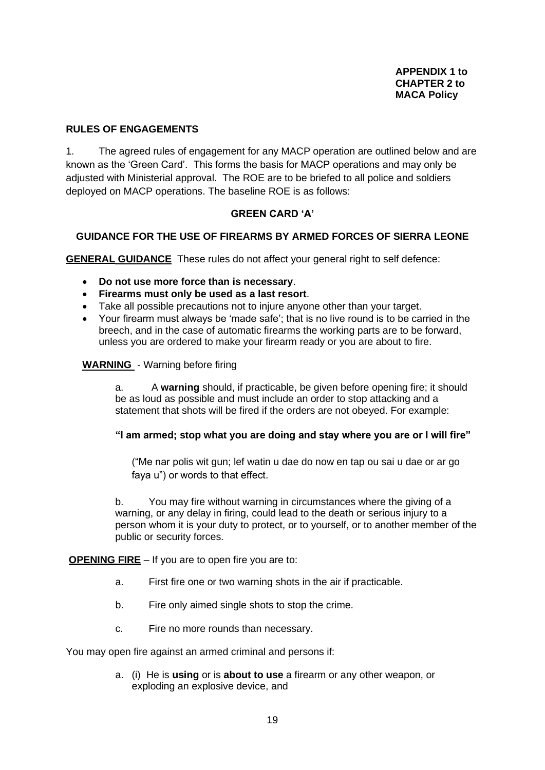#### **RULES OF ENGAGEMENTS**

1. The agreed rules of engagement for any MACP operation are outlined below and are known as the 'Green Card'. This forms the basis for MACP operations and may only be adjusted with Ministerial approval. The ROE are to be briefed to all police and soldiers deployed on MACP operations. The baseline ROE is as follows:

#### **GREEN CARD 'A'**

#### **GUIDANCE FOR THE USE OF FIREARMS BY ARMED FORCES OF SIERRA LEONE**

**GENERAL GUIDANCE** These rules do not affect your general right to self defence:

- **Do not use more force than is necessary**.
- **Firearms must only be used as a last resort**.
- Take all possible precautions not to injure anyone other than your target.
- Your firearm must always be 'made safe'; that is no live round is to be carried in the breech, and in the case of automatic firearms the working parts are to be forward, unless you are ordered to make your firearm ready or you are about to fire.

#### **WARNING** - Warning before firing

a. A **warning** should, if practicable, be given before opening fire; it should be as loud as possible and must include an order to stop attacking and a statement that shots will be fired if the orders are not obeyed. For example:

#### **"I am armed; stop what you are doing and stay where you are or I will fire"**

("Me nar polis wit gun; lef watin u dae do now en tap ou sai u dae or ar go faya u") or words to that effect.

b. You may fire without warning in circumstances where the giving of a warning, or any delay in firing, could lead to the death or serious injury to a person whom it is your duty to protect, or to yourself, or to another member of the public or security forces.

**OPENING FIRE** – If you are to open fire you are to:

- a. First fire one or two warning shots in the air if practicable.
- b. Fire only aimed single shots to stop the crime.
- c. Fire no more rounds than necessary.

You may open fire against an armed criminal and persons if:

a. (i) He is **using** or is **about to use** a firearm or any other weapon, or exploding an explosive device, and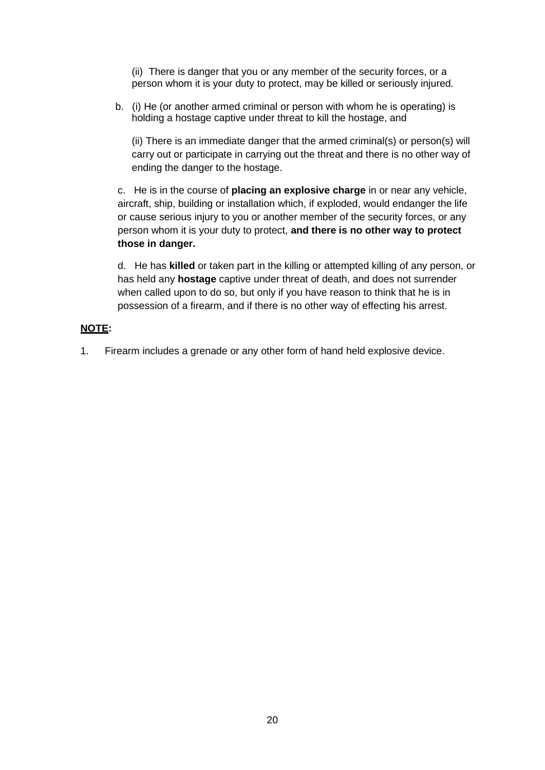(ii) There is danger that you or any member of the security forces, or a person whom it is your duty to protect, may be killed or seriously injured.

b. (i) He (or another armed criminal or person with whom he is operating) is holding a hostage captive under threat to kill the hostage, and

 (ii) There is an immediate danger that the armed criminal(s) or person(s) will carry out or participate in carrying out the threat and there is no other way of ending the danger to the hostage.

c. He is in the course of **placing an explosive charge** in or near any vehicle, aircraft, ship, building or installation which, if exploded, would endanger the life or cause serious injury to you or another member of the security forces, or any person whom it is your duty to protect, **and there is no other way to protect those in danger.**

d. He has **killed** or taken part in the killing or attempted killing of any person, or has held any **hostage** captive under threat of death, and does not surrender when called upon to do so, but only if you have reason to think that he is in possession of a firearm, and if there is no other way of effecting his arrest.

#### **NOTE:**

1. Firearm includes a grenade or any other form of hand held explosive device.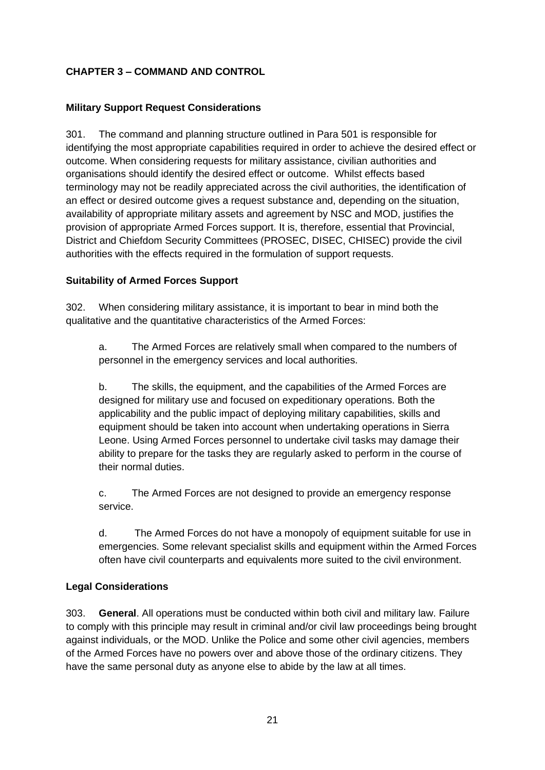## **CHAPTER 3 – COMMAND AND CONTROL**

## **Military Support Request Considerations**

301. The command and planning structure outlined in Para 501 is responsible for identifying the most appropriate capabilities required in order to achieve the desired effect or outcome. When considering requests for military assistance, civilian authorities and organisations should identify the desired effect or outcome. Whilst effects based terminology may not be readily appreciated across the civil authorities, the identification of an effect or desired outcome gives a request substance and, depending on the situation, availability of appropriate military assets and agreement by NSC and MOD, justifies the provision of appropriate Armed Forces support. It is, therefore, essential that Provincial, District and Chiefdom Security Committees (PROSEC, DISEC, CHISEC) provide the civil authorities with the effects required in the formulation of support requests.

#### **Suitability of Armed Forces Support**

302. When considering military assistance, it is important to bear in mind both the qualitative and the quantitative characteristics of the Armed Forces:

a. The Armed Forces are relatively small when compared to the numbers of personnel in the emergency services and local authorities.

b. The skills, the equipment, and the capabilities of the Armed Forces are designed for military use and focused on expeditionary operations. Both the applicability and the public impact of deploying military capabilities, skills and equipment should be taken into account when undertaking operations in Sierra Leone. Using Armed Forces personnel to undertake civil tasks may damage their ability to prepare for the tasks they are regularly asked to perform in the course of their normal duties.

c. The Armed Forces are not designed to provide an emergency response service.

d. The Armed Forces do not have a monopoly of equipment suitable for use in emergencies. Some relevant specialist skills and equipment within the Armed Forces often have civil counterparts and equivalents more suited to the civil environment.

## **Legal Considerations**

303. **General**. All operations must be conducted within both civil and military law. Failure to comply with this principle may result in criminal and/or civil law proceedings being brought against individuals, or the MOD. Unlike the Police and some other civil agencies, members of the Armed Forces have no powers over and above those of the ordinary citizens. They have the same personal duty as anyone else to abide by the law at all times.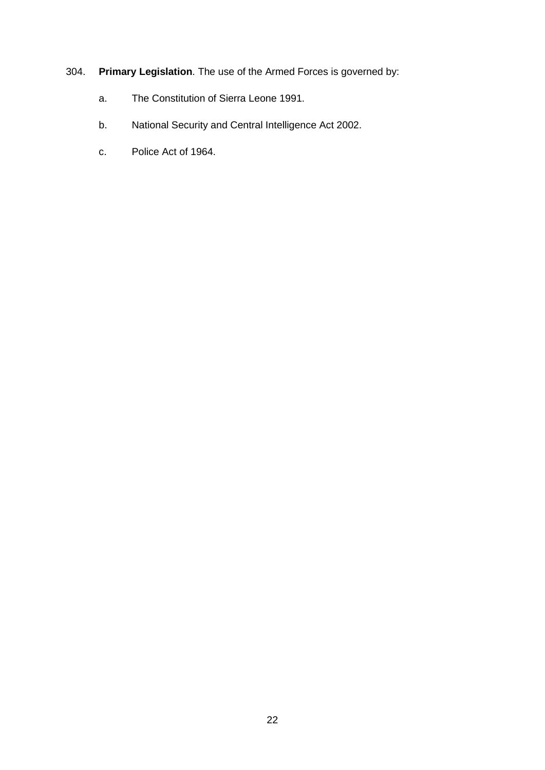## 304. **Primary Legislation**. The use of the Armed Forces is governed by:

- a. The Constitution of Sierra Leone 1991.
- b. National Security and Central Intelligence Act 2002.
- c. Police Act of 1964.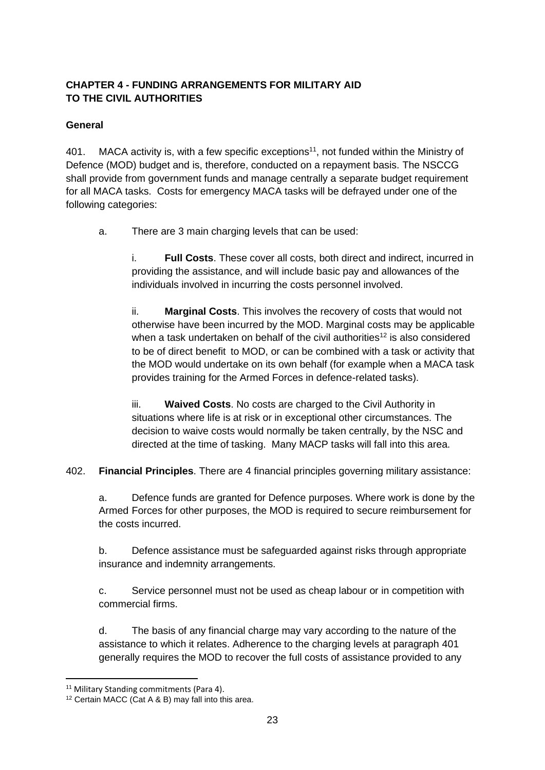## **CHAPTER 4 - FUNDING ARRANGEMENTS FOR MILITARY AID TO THE CIVIL AUTHORITIES**

## **General**

401. MACA activity is, with a few specific exceptions<sup>11</sup>, not funded within the Ministry of Defence (MOD) budget and is, therefore, conducted on a repayment basis. The NSCCG shall provide from government funds and manage centrally a separate budget requirement for all MACA tasks. Costs for emergency MACA tasks will be defrayed under one of the following categories:

a. There are 3 main charging levels that can be used:

i. **Full Costs**. These cover all costs, both direct and indirect, incurred in providing the assistance, and will include basic pay and allowances of the individuals involved in incurring the costs personnel involved.

ii. **Marginal Costs**. This involves the recovery of costs that would not otherwise have been incurred by the MOD. Marginal costs may be applicable when a task undertaken on behalf of the civil authorities<sup>12</sup> is also considered to be of direct benefit to MOD, or can be combined with a task or activity that the MOD would undertake on its own behalf (for example when a MACA task provides training for the Armed Forces in defence-related tasks).

iii. **Waived Costs**. No costs are charged to the Civil Authority in situations where life is at risk or in exceptional other circumstances. The decision to waive costs would normally be taken centrally, by the NSC and directed at the time of tasking. Many MACP tasks will fall into this area.

402. **Financial Principles**. There are 4 financial principles governing military assistance:

a. Defence funds are granted for Defence purposes. Where work is done by the Armed Forces for other purposes, the MOD is required to secure reimbursement for the costs incurred.

b. Defence assistance must be safeguarded against risks through appropriate insurance and indemnity arrangements.

c. Service personnel must not be used as cheap labour or in competition with commercial firms.

d. The basis of any financial charge may vary according to the nature of the assistance to which it relates. Adherence to the charging levels at paragraph 401 generally requires the MOD to recover the full costs of assistance provided to any

<sup>&</sup>lt;sup>11</sup> Military Standing commitments (Para 4).

<sup>12</sup> Certain MACC (Cat A & B) may fall into this area.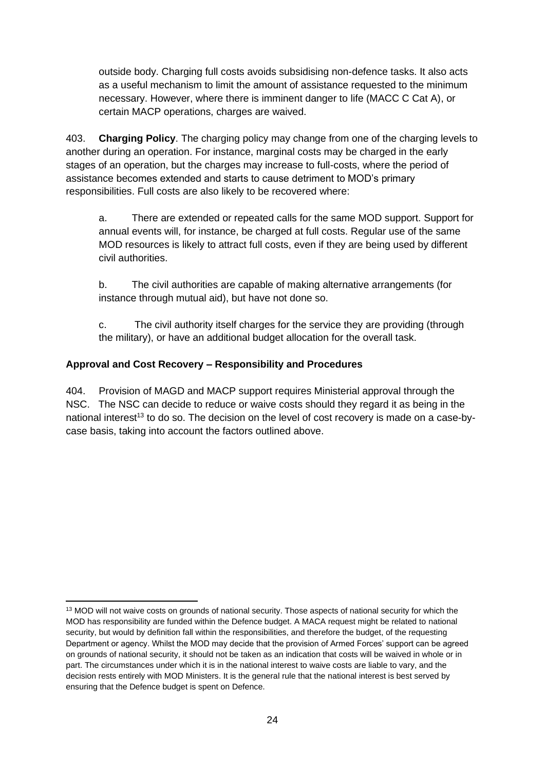outside body. Charging full costs avoids subsidising non-defence tasks. It also acts as a useful mechanism to limit the amount of assistance requested to the minimum necessary. However, where there is imminent danger to life (MACC C Cat A), or certain MACP operations, charges are waived.

403. **Charging Policy**. The charging policy may change from one of the charging levels to another during an operation. For instance, marginal costs may be charged in the early stages of an operation, but the charges may increase to full-costs, where the period of assistance becomes extended and starts to cause detriment to MOD's primary responsibilities. Full costs are also likely to be recovered where:

a. There are extended or repeated calls for the same MOD support. Support for annual events will, for instance, be charged at full costs. Regular use of the same MOD resources is likely to attract full costs, even if they are being used by different civil authorities.

b. The civil authorities are capable of making alternative arrangements (for instance through mutual aid), but have not done so.

c. The civil authority itself charges for the service they are providing (through the military), or have an additional budget allocation for the overall task.

## **Approval and Cost Recovery – Responsibility and Procedures**

404. Provision of MAGD and MACP support requires Ministerial approval through the NSC. The NSC can decide to reduce or waive costs should they regard it as being in the national interest<sup>13</sup> to do so. The decision on the level of cost recovery is made on a case-bycase basis, taking into account the factors outlined above.

<sup>&</sup>lt;sup>13</sup> MOD will not waive costs on grounds of national security. Those aspects of national security for which the MOD has responsibility are funded within the Defence budget. A MACA request might be related to national security, but would by definition fall within the responsibilities, and therefore the budget, of the requesting Department or agency. Whilst the MOD may decide that the provision of Armed Forces' support can be agreed on grounds of national security, it should not be taken as an indication that costs will be waived in whole or in part. The circumstances under which it is in the national interest to waive costs are liable to vary, and the decision rests entirely with MOD Ministers. It is the general rule that the national interest is best served by ensuring that the Defence budget is spent on Defence.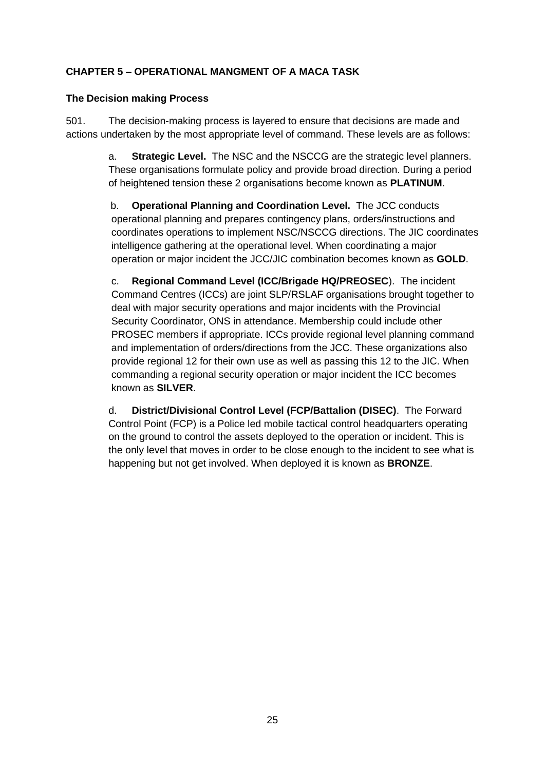## **CHAPTER 5 – OPERATIONAL MANGMENT OF A MACA TASK**

#### **The Decision making Process**

501. The decision-making process is layered to ensure that decisions are made and actions undertaken by the most appropriate level of command. These levels are as follows:

> a. **Strategic Level.** The NSC and the NSCCG are the strategic level planners. These organisations formulate policy and provide broad direction. During a period of heightened tension these 2 organisations become known as **PLATINUM**.

 b. **Operational Planning and Coordination Level.** The JCC conducts operational planning and prepares contingency plans, orders/instructions and coordinates operations to implement NSC/NSCCG directions. The JIC coordinates intelligence gathering at the operational level. When coordinating a major operation or major incident the JCC/JIC combination becomes known as **GOLD**.

c. **Regional Command Level (ICC/Brigade HQ/PREOSEC**). The incident Command Centres (ICCs) are joint SLP/RSLAF organisations brought together to deal with major security operations and major incidents with the Provincial Security Coordinator, ONS in attendance. Membership could include other PROSEC members if appropriate. ICCs provide regional level planning command and implementation of orders/directions from the JCC. These organizations also provide regional 12 for their own use as well as passing this 12 to the JIC. When commanding a regional security operation or major incident the ICC becomes known as **SILVER**.

d. **District/Divisional Control Level (FCP/Battalion (DISEC)**. The Forward Control Point (FCP) is a Police led mobile tactical control headquarters operating on the ground to control the assets deployed to the operation or incident. This is the only level that moves in order to be close enough to the incident to see what is happening but not get involved. When deployed it is known as **BRONZE**.